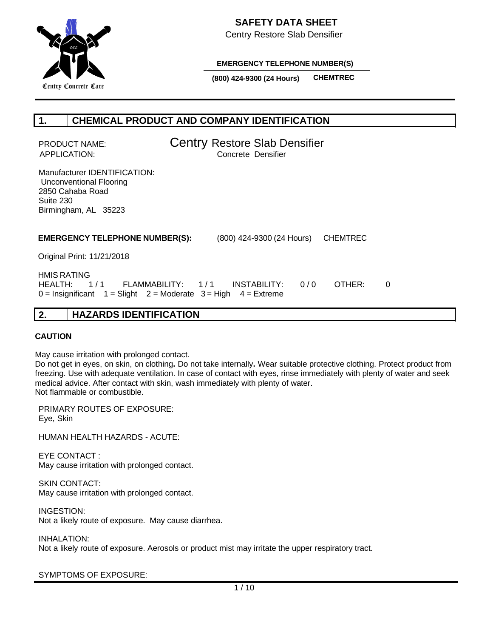

Centry Restore Slab Densifier

**EMERGENCY TELEPHONE NUMBER(S)**

**(800) 424-9300 (24 Hours) CHEMTREC**

# **1. CHEMICAL PRODUCT AND COMPANY IDENTIFICATION**

PRODUCT NAME: **Centry Restore Slab Densifier** APPLICATION: Concrete Densifier

Manufacturer IDENTIFICATION: Unconventional Flooring 2850 Cahaba Road Suite 230 Birmingham, AL 35223

 **EMERGENCY TELEPHONE NUMBER(S):** (800) 424-9300 (24 Hours) CHEMTREC

Original Print: 11/21/2018

 HMIS RATING HEALTH: 1/1 FLAMMABILITY: 1/1 INSTABILITY: 0/0 OTHER: 0  $0 =$  Insignificant  $1 =$  Slight  $2 =$  Moderate  $3 =$  High  $4 =$  Extreme

## **2. HAZARDS IDENTIFICATION**

## **CAUTION**

May cause irritation with prolonged contact.

Do not get in eyes, on skin, on clothing**.** Do not take internally**.** Wear suitable protective clothing. Protect product from freezing. Use with adequate ventilation. In case of contact with eyes, rinse immediately with plenty of water and seek medical advice. After contact with skin, wash immediately with plenty of water. Not flammable or combustible.

PRIMARY ROUTES OF EXPOSURE: Eye, Skin

HUMAN HEALTH HAZARDS - ACUTE:

EYE CONTACT : May cause irritation with prolonged contact.

SKIN CONTACT: May cause irritation with prolonged contact.

INGESTION: Not a likely route of exposure. May cause diarrhea.

INHALATION:

Not a likely route of exposure. Aerosols or product mist may irritate the upper respiratory tract.

SYMPTOMS OF EXPOSURE: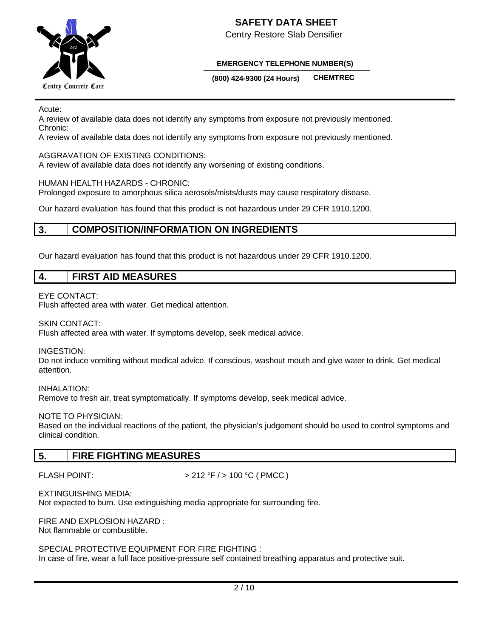

Centry Restore Slab Densifier

## **EMERGENCY TELEPHONE NUMBER(S)**

**(800) 424-9300 (24 Hours) CHEMTREC**

Acute:

A review of available data does not identify any symptoms from exposure not previously mentioned. Chronic:

A review of available data does not identify any symptoms from exposure not previously mentioned.

## AGGRAVATION OF EXISTING CONDITIONS:

A review of available data does not identify any worsening of existing conditions.

#### HUMAN HEALTH HAZARDS - CHRONIC:

Prolonged exposure to amorphous silica aerosols/mists/dusts may cause respiratory disease.

Our hazard evaluation has found that this product is not hazardous under 29 CFR 1910.1200.

## **3. COMPOSITION/INFORMATION ON INGREDIENTS**

Our hazard evaluation has found that this product is not hazardous under 29 CFR 1910.1200.

## **4. FIRST AID MEASURES**

#### EYE CONTACT:

Flush affected area with water. Get medical attention.

#### SKIN CONTACT:

Flush affected area with water. If symptoms develop, seek medical advice.

INGESTION:

Do not induce vomiting without medical advice. If conscious, washout mouth and give water to drink. Get medical attention.

INHALATION: Remove to fresh air, treat symptomatically. If symptoms develop, seek medical advice.

## NOTE TO PHYSICIAN:

Based on the individual reactions of the patient, the physician's judgement should be used to control symptoms and clinical condition.

## **5. FIRE FIGHTING MEASURES**

FLASH POINT:  $> 212 °F / > 100 °C$  (PMCC)

EXTINGUISHING MEDIA:

Not expected to burn. Use extinguishing media appropriate for surrounding fire.

FIRE AND EXPLOSION HAZARD : Not flammable or combustible.

SPECIAL PROTECTIVE EQUIPMENT FOR FIRE FIGHTING : In case of fire, wear a full face positive-pressure self contained breathing apparatus and protective suit.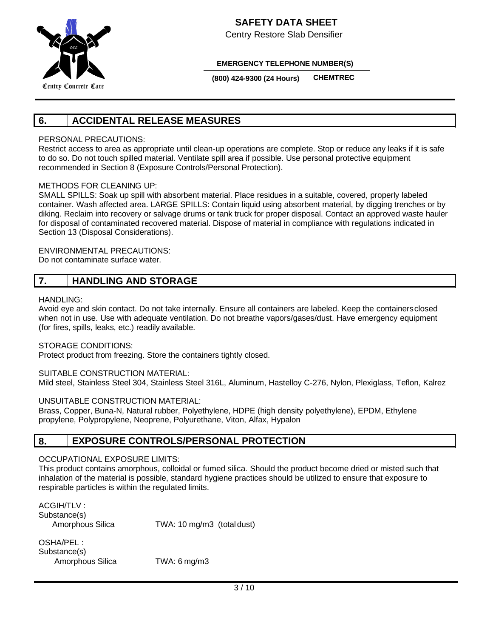

Centry Restore Slab Densifier

**EMERGENCY TELEPHONE NUMBER(S)**

**(800) 424-9300 (24 Hours) CHEMTREC**

# **6. ACCIDENTAL RELEASE MEASURES**

## PERSONAL PRECAUTIONS:

Restrict access to area as appropriate until clean-up operations are complete. Stop or reduce any leaks if it is safe to do so. Do not touch spilled material. Ventilate spill area if possible. Use personal protective equipment recommended in Section 8 (Exposure Controls/Personal Protection).

## METHODS FOR CLEANING UP:

SMALL SPILLS: Soak up spill with absorbent material. Place residues in a suitable, covered, properly labeled container. Wash affected area. LARGE SPILLS: Contain liquid using absorbent material, by digging trenches or by diking. Reclaim into recovery or salvage drums or tank truck for proper disposal. Contact an approved waste hauler for disposal of contaminated recovered material. Dispose of material in compliance with regulations indicated in Section 13 (Disposal Considerations).

ENVIRONMENTAL PRECAUTIONS:

Do not contaminate surface water.

# **7. HANDLING AND STORAGE**

## HANDLING:

Avoid eye and skin contact. Do not take internally. Ensure all containers are labeled. Keep the containersclosed when not in use. Use with adequate ventilation. Do not breathe vapors/gases/dust. Have emergency equipment (for fires, spills, leaks, etc.) readily available.

STORAGE CONDITIONS:

Protect product from freezing. Store the containers tightly closed.

## SUITABLE CONSTRUCTION MATERIAL:

Mild steel, Stainless Steel 304, Stainless Steel 316L, Aluminum, Hastelloy C-276, Nylon, Plexiglass, Teflon, Kalrez

## UNSUITABLE CONSTRUCTION MATERIAL:

Brass, Copper, Buna-N, Natural rubber, Polyethylene, HDPE (high density polyethylene), EPDM, Ethylene propylene, Polypropylene, Neoprene, Polyurethane, Viton, Alfax, Hypalon

## **8. EXPOSURE CONTROLS/PERSONAL PROTECTION**

## OCCUPATIONAL EXPOSURE LIMITS:

This product contains amorphous, colloidal or fumed silica. Should the product become dried or misted such that inhalation of the material is possible, standard hygiene practices should be utilized to ensure that exposure to respirable particles is within the regulated limits.

ACGIH/TLV : Substance(s)

Amorphous Silica TWA: 10 mg/m3 (total dust)

OSHA/PEL : Substance(s) Amorphous Silica TWA: 6 mg/m3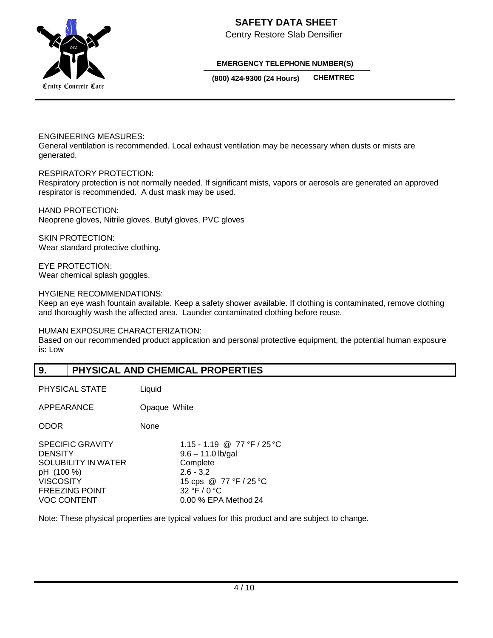

Centry Restore Slab Densifier

#### **EMERGENCY TELEPHONE NUMBER(S)**

**(800) 424-9300 (24 Hours) CHEMTREC**

#### ENGINEERING MEASURES:

General ventilation is recommended. Local exhaust ventilation may be necessary when dusts or mists are generated.

#### RESPIRATORY PROTECTION:

Respiratory protection is not normally needed. If significant mists, vapors or aerosols are generated an approved respirator is recommended. A dust mask may be used.

HAND PROTECTION: Neoprene gloves, Nitrile gloves, Butyl gloves, PVC gloves

SKIN PROTECTION: Wear standard protective clothing.

EYE PROTECTION: Wear chemical splash goggles.

HYGIENE RECOMMENDATIONS:

Keep an eye wash fountain available. Keep a safety shower available. If clothing is contaminated, remove clothing and thoroughly wash the affected area. Launder contaminated clothing before reuse.

HUMAN EXPOSURE CHARACTERIZATION:

Based on our recommended product application and personal protective equipment, the potential human exposure is: Low

## **9. PHYSICAL AND CHEMICAL PROPERTIES**

| PHYSICAL STATE                                                                                                               | Liquid                                                                                                                                          |
|------------------------------------------------------------------------------------------------------------------------------|-------------------------------------------------------------------------------------------------------------------------------------------------|
| APPEARANCE                                                                                                                   | Opaque White                                                                                                                                    |
| ODOR                                                                                                                         | None                                                                                                                                            |
| <b>SPECIFIC GRAVITY</b><br>DENSITY<br><b>SOLUBILITY IN WATER</b><br>pH (100 %)<br>VISCOSITY<br>FREEZING POINT<br>VOC CONTENT | 1.15 - 1.19 @ 77 °F / 25 °C<br>$9.6 - 11.0$ lb/gal<br>Complete<br>$2.6 - 3.2$<br>15 cps @ 77 °F / 25 °C<br>32 °F / 0 °C<br>0.00 % EPA Method 24 |

Note: These physical properties are typical values for this product and are subject to change.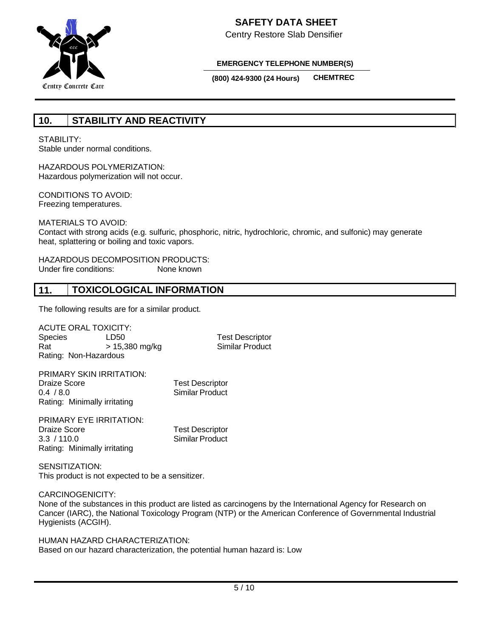

Centry Restore Slab Densifier

#### **EMERGENCY TELEPHONE NUMBER(S)**

**(800) 424-9300 (24 Hours) CHEMTREC**

## **10. STABILITY AND REACTIVITY**

STABILITY<sup>.</sup>

Stable under normal conditions.

HAZARDOUS POLYMERIZATION: Hazardous polymerization will not occur.

CONDITIONS TO AVOID: Freezing temperatures.

MATERIALS TO AVOID:

Contact with strong acids (e.g. sulfuric, phosphoric, nitric, hydrochloric, chromic, and sulfonic) may generate heat, splattering or boiling and toxic vapors.

HAZARDOUS DECOMPOSITION PRODUCTS: Under fire conditions: None known

## **11. TOXICOLOGICAL INFORMATION**

The following results are for a similar product.

ACUTE ORAL TOXICITY: Species LD50 Test Descriptor  $Rat$   $> 15,380$  mg/kg Rating: Non-Hazardous

| PRIMARY SKIN IRRITATION:     |                        |
|------------------------------|------------------------|
| Draize Score                 | <b>Test Descriptor</b> |
| 0.4 / 8.0                    | <b>Similar Product</b> |
| Rating: Minimally irritating |                        |

PRIMARY EYE IRRITATION: Draize Score Test Descriptor 3.3 / 110.0 Similar Product Rating: Minimally irritating

SENSITIZATION: This product is not expected to be a sensitizer.

CARCINOGENICITY:

None of the substances in this product are listed as carcinogens by the International Agency for Research on Cancer (IARC), the National Toxicology Program (NTP) or the American Conference of Governmental Industrial Hygienists (ACGIH).

HUMAN HAZARD CHARACTERIZATION: Based on our hazard characterization, the potential human hazard is: Low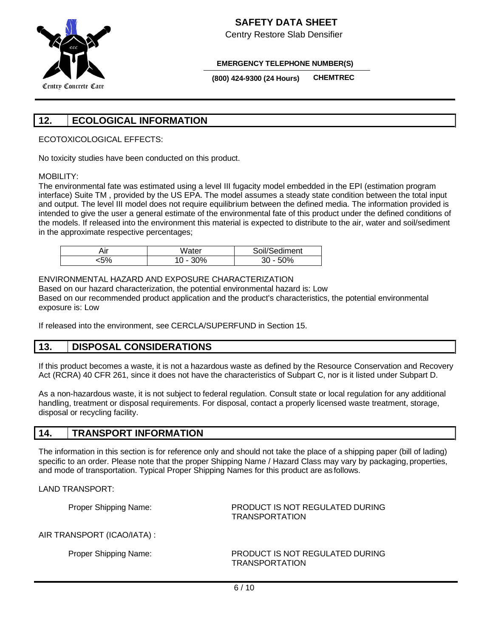

Centry Restore Slab Densifier

#### **EMERGENCY TELEPHONE NUMBER(S)**

**(800) 424-9300 (24 Hours) CHEMTREC**

# **12. ECOLOGICAL INFORMATION**

ECOTOXICOLOGICAL EFFECTS:

No toxicity studies have been conducted on this product.

## MOBILITY:

The environmental fate was estimated using a level III fugacity model embedded in the EPI (estimation program interface) Suite TM , provided by the US EPA. The model assumes a steady state condition between the total input and output. The level III model does not require equilibrium between the defined media. The information provided is intended to give the user a general estimate of the environmental fate of this product under the defined conditions of the models. If released into the environment this material is expected to distribute to the air, water and soil/sediment in the approximate respective percentages;

| - -<br>٦II<br>. | Water | $\cdots$<br>diment<br>/ווו זר |
|-----------------|-------|-------------------------------|
| -^'             | 0%    | 0%                            |

## ENVIRONMENTAL HAZARD AND EXPOSURE CHARACTERIZATION

Based on our hazard characterization, the potential environmental hazard is: Low Based on our recommended product application and the product's characteristics, the potential environmental exposure is: Low

If released into the environment, see CERCLA/SUPERFUND in Section 15.

## **13. DISPOSAL CONSIDERATIONS**

If this product becomes a waste, it is not a hazardous waste as defined by the Resource Conservation and Recovery Act (RCRA) 40 CFR 261, since it does not have the characteristics of Subpart C, nor is it listed under Subpart D.

As a non-hazardous waste, it is not subject to federal regulation. Consult state or local regulation for any additional handling, treatment or disposal requirements. For disposal, contact a properly licensed waste treatment, storage, disposal or recycling facility.

## **14. TRANSPORT INFORMATION**

The information in this section is for reference only and should not take the place of a shipping paper (bill of lading) specific to an order. Please note that the proper Shipping Name / Hazard Class may vary by packaging, properties, and mode of transportation. Typical Proper Shipping Names for this product are as follows.

LAND TRANSPORT:

Proper Shipping Name: PRODUCT IS NOT REGULATED DURING TRANSPORTATION

AIR TRANSPORT (ICAO/IATA) :

Proper Shipping Name: PRODUCT IS NOT REGULATED DURING TRANSPORTATION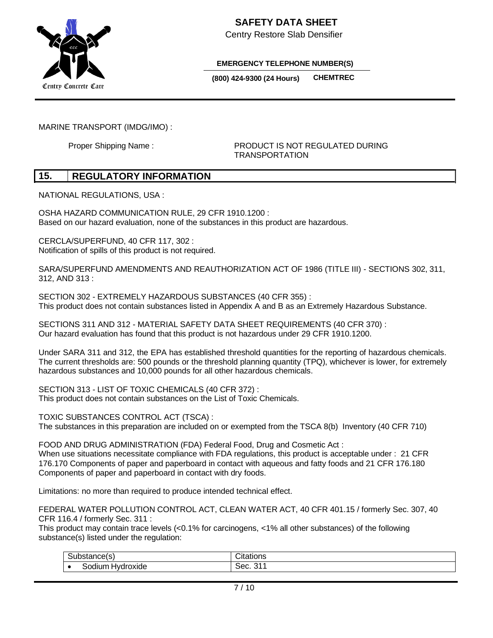

Centry Restore Slab Densifier

**EMERGENCY TELEPHONE NUMBER(S)**

**(800) 424-9300 (24 Hours) CHEMTREC**

MARINE TRANSPORT (IMDG/IMO) :

Proper Shipping Name : PRODUCT IS NOT REGULATED DURING TRANSPORTATION

## **15. REGULATORY INFORMATION**

NATIONAL REGULATIONS, USA :

OSHA HAZARD COMMUNICATION RULE, 29 CFR 1910.1200 : Based on our hazard evaluation, none of the substances in this product are hazardous.

CERCLA/SUPERFUND, 40 CFR 117, 302 : Notification of spills of this product is not required.

SARA/SUPERFUND AMENDMENTS AND REAUTHORIZATION ACT OF 1986 (TITLE III) - SECTIONS 302, 311, 312, AND 313 :

SECTION 302 - EXTREMELY HAZARDOUS SUBSTANCES (40 CFR 355) : This product does not contain substances listed in Appendix A and B as an Extremely Hazardous Substance.

SECTIONS 311 AND 312 - MATERIAL SAFETY DATA SHEET REQUIREMENTS (40 CFR 370) : Our hazard evaluation has found that this product is not hazardous under 29 CFR 1910.1200.

Under SARA 311 and 312, the EPA has established threshold quantities for the reporting of hazardous chemicals. The current thresholds are: 500 pounds or the threshold planning quantity (TPQ), whichever is lower, for extremely hazardous substances and 10,000 pounds for all other hazardous chemicals.

SECTION 313 - LIST OF TOXIC CHEMICALS (40 CFR 372) : This product does not contain substances on the List of Toxic Chemicals.

TOXIC SUBSTANCES CONTROL ACT (TSCA) : The substances in this preparation are included on or exempted from the TSCA 8(b) Inventory (40 CFR 710)

FOOD AND DRUG ADMINISTRATION (FDA) Federal Food, Drug and Cosmetic Act :

When use situations necessitate compliance with FDA regulations, this product is acceptable under : 21 CFR 176.170 Components of paper and paperboard in contact with aqueous and fatty foods and 21 CFR 176.180 Components of paper and paperboard in contact with dry foods.

Limitations: no more than required to produce intended technical effect.

FEDERAL WATER POLLUTION CONTROL ACT, CLEAN WATER ACT, 40 CFR 401.15 / formerly Sec. 307, 40 CFR 116.4 / formerly Sec. 311 :

This product may contain trace levels (<0.1% for carcinogens, <1% all other substances) of the following substance(s) listed under the regulation:

| $\sim$                                           | $\sim$<br>. . |
|--------------------------------------------------|---------------|
| $\cdots$<br>ົ້<br>.<br>$\cdot$<br>xiue<br>י<br>ш | ົ             |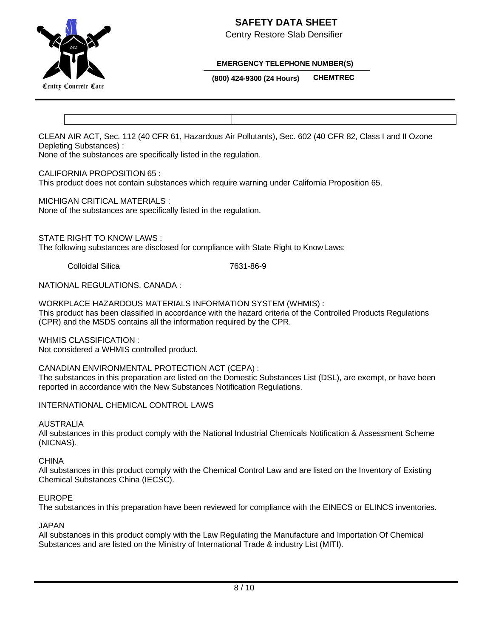

Centry Restore Slab Densifier



## **EMERGENCY TELEPHONE NUMBER(S)**

**(800) 424-9300 (24 Hours) CHEMTREC**

CLEAN AIR ACT, Sec. 112 (40 CFR 61, Hazardous Air Pollutants), Sec. 602 (40 CFR 82, Class I and II Ozone Depleting Substances) :

None of the substances are specifically listed in the regulation.

#### CALIFORNIA PROPOSITION 65 :

This product does not contain substances which require warning under California Proposition 65.

MICHIGAN CRITICAL MATERIALS :

None of the substances are specifically listed in the regulation.

STATE RIGHT TO KNOW LAWS :

The following substances are disclosed for compliance with State Right to KnowLaws:

Colloidal Silica 7631-86-9

NATIONAL REGULATIONS, CANADA :

WORKPLACE HAZARDOUS MATERIALS INFORMATION SYSTEM (WHMIS) : This product has been classified in accordance with the hazard criteria of the Controlled Products Regulations (CPR) and the MSDS contains all the information required by the CPR.

WHMIS CLASSIFICATION : Not considered a WHMIS controlled product.

CANADIAN ENVIRONMENTAL PROTECTION ACT (CEPA) :

The substances in this preparation are listed on the Domestic Substances List (DSL), are exempt, or have been reported in accordance with the New Substances Notification Regulations.

INTERNATIONAL CHEMICAL CONTROL LAWS

AUSTRALIA

All substances in this product comply with the National Industrial Chemicals Notification & Assessment Scheme (NICNAS).

CHINA

All substances in this product comply with the Chemical Control Law and are listed on the Inventory of Existing Chemical Substances China (IECSC).

## EUROPE

The substances in this preparation have been reviewed for compliance with the EINECS or ELINCS inventories.

## JAPAN

All substances in this product comply with the Law Regulating the Manufacture and Importation Of Chemical Substances and are listed on the Ministry of International Trade & industry List (MITI).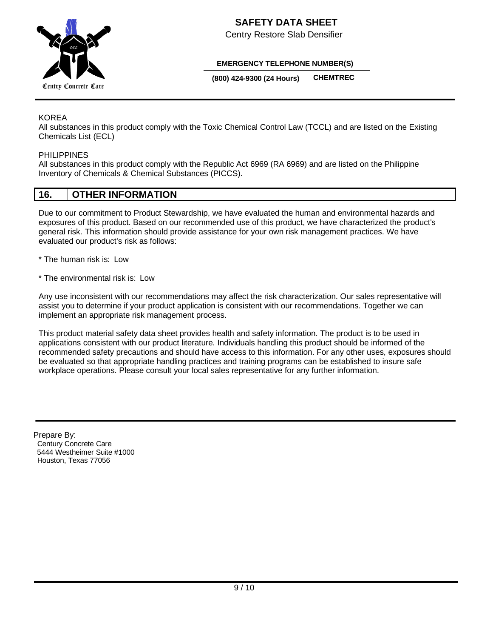

Centry Restore Slab Densifier

#### **EMERGENCY TELEPHONE NUMBER(S)**

**(800) 424-9300 (24 Hours) CHEMTREC**

#### KOREA

All substances in this product comply with the Toxic Chemical Control Law (TCCL) and are listed on the Existing Chemicals List (ECL)

#### PHILIPPINES

All substances in this product comply with the Republic Act 6969 (RA 6969) and are listed on the Philippine Inventory of Chemicals & Chemical Substances (PICCS).

## **16. OTHER INFORMATION**

Due to our commitment to Product Stewardship, we have evaluated the human and environmental hazards and exposures of this product. Based on our recommended use of this product, we have characterized the product's general risk. This information should provide assistance for your own risk management practices. We have evaluated our product's risk as follows:

- \* The human risk is: Low
- \* The environmental risk is: Low

Any use inconsistent with our recommendations may affect the risk characterization. Our sales representative will assist you to determine if your product application is consistent with our recommendations. Together we can implement an appropriate risk management process.

This product material safety data sheet provides health and safety information. The product is to be used in applications consistent with our product literature. Individuals handling this product should be informed of the recommended safety precautions and should have access to this information. For any other uses, exposures should be evaluated so that appropriate handling practices and training programs can be established to insure safe workplace operations. Please consult your local sales representative for any further information.

 Prepare By: Century Concrete Care 5444 Westheimer Suite #1000 Houston, Texas 77056